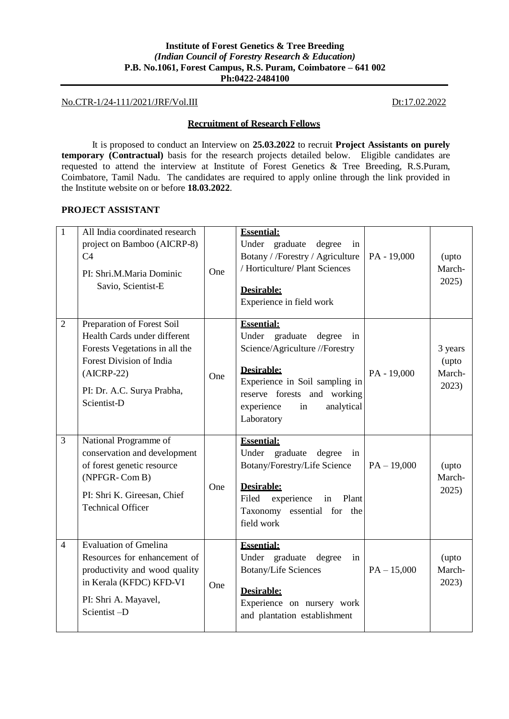# **Institute of Forest Genetics & Tree Breeding** *(Indian Council of Forestry Research & Education)* **P.B. No.1061, Forest Campus, R.S. Puram, Coimbatore – 641 002 Ph:0422-2484100**

# No.CTR-1/24-111/2021/JRF/Vol.III Dt:17.02.2022

### **Recruitment of Research Fellows**

It is proposed to conduct an Interview on **25.03.2022** to recruit **Project Assistants on purely temporary (Contractual)** basis for the research projects detailed below. Eligible candidates are requested to attend the interview at Institute of Forest Genetics & Tree Breeding, R.S.Puram, Coimbatore, Tamil Nadu. The candidates are required to apply online through the link provided in the Institute website on or before **18.03.2022**.

## **PROJECT ASSISTANT**

| $\mathbf{1}$   | All India coordinated research<br>project on Bamboo (AICRP-8)<br>C <sub>4</sub><br>PI: Shri.M.Maria Dominic<br>Savio, Scientist-E                                                     | One | <b>Essential:</b><br>Under graduate<br>degree<br>in<br>Botany / /Forestry / Agriculture<br>/ Horticulture/ Plant Sciences<br>Desirable:<br>Experience in field work                                                            | PA - 19,000   | (upto<br>March-<br>2025)            |
|----------------|---------------------------------------------------------------------------------------------------------------------------------------------------------------------------------------|-----|--------------------------------------------------------------------------------------------------------------------------------------------------------------------------------------------------------------------------------|---------------|-------------------------------------|
| $\overline{2}$ | Preparation of Forest Soil<br>Health Cards under different<br>Forests Vegetations in all the<br>Forest Division of India<br>$(AICRP-22)$<br>PI: Dr. A.C. Surya Prabha,<br>Scientist-D | One | <b>Essential:</b><br>graduate<br>Under<br>degree<br>in<br>Science/Agriculture //Forestry<br><b>Desirable:</b><br>Experience in Soil sampling in<br>reserve forests and working<br>analytical<br>experience<br>in<br>Laboratory | PA - 19,000   | 3 years<br>(upto<br>March-<br>2023) |
| 3              | National Programme of<br>conservation and development<br>of forest genetic resource<br>(NPFGR-Com B)<br>PI: Shri K. Gireesan, Chief<br><b>Technical Officer</b>                       | One | <b>Essential:</b><br>Under graduate<br>degree<br>in<br>Botany/Forestry/Life Science<br>Desirable:<br>Filed<br>Plant<br>experience<br>in<br>Taxonomy essential for<br>the<br>field work                                         | $PA - 19,000$ | (upto<br>March-<br>2025)            |
| $\overline{4}$ | <b>Evaluation of Gmelina</b><br>Resources for enhancement of<br>productivity and wood quality<br>in Kerala (KFDC) KFD-VI<br>PI: Shri A. Mayavel,<br>Scientist-D                       | One | <b>Essential:</b><br>Under graduate<br>degree<br>in<br><b>Botany/Life Sciences</b><br>Desirable:<br>Experience on nursery work<br>and plantation establishment                                                                 | $PA - 15,000$ | (upto<br>March-<br>2023)            |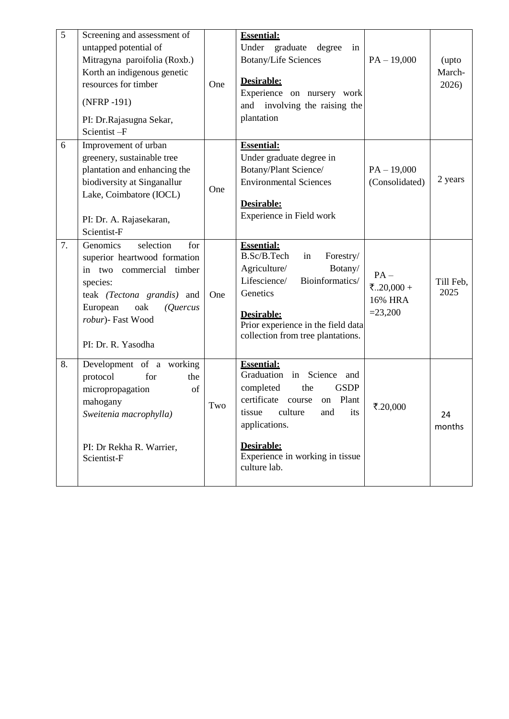| $\overline{5}$ | Screening and assessment of<br>untapped potential of<br>Mitragyna paroifolia (Roxb.)<br>Korth an indigenous genetic<br>resources for timber<br>(NFRP-191)<br>PI: Dr.Rajasugna Sekar,<br>Scientist-F          | One | <b>Essential:</b><br>Under graduate degree<br>in<br><b>Botany/Life Sciences</b><br>Desirable:<br>Experience on nursery work<br>and involving the raising the<br>plantation                                                                         | $PA - 19,000$                                | (upto<br>March-<br>2026) |
|----------------|--------------------------------------------------------------------------------------------------------------------------------------------------------------------------------------------------------------|-----|----------------------------------------------------------------------------------------------------------------------------------------------------------------------------------------------------------------------------------------------------|----------------------------------------------|--------------------------|
| 6              | Improvement of urban<br>greenery, sustainable tree<br>plantation and enhancing the<br>biodiversity at Singanallur<br>Lake, Coimbatore (IOCL)<br>PI: Dr. A. Rajasekaran,<br>Scientist-F                       | One | <b>Essential:</b><br>Under graduate degree in<br>Botany/Plant Science/<br><b>Environmental Sciences</b><br>Desirable:<br>Experience in Field work                                                                                                  | $PA - 19,000$<br>(Consolidated)              | 2 years                  |
| 7.             | selection<br>Genomics<br>for<br>superior heartwood formation<br>in two commercial timber<br>species:<br>teak (Tectona grandis) and<br>European<br>oak<br>(Quercus<br>robur)- Fast Wood<br>PI: Dr. R. Yasodha | One | <b>Essential:</b><br>B.Sc/B.Tech<br>Forestry/<br>in<br>Agriculture/<br>Botany/<br>Lifescience/<br>Bioinformatics/<br>Genetics<br>Desirable:<br>Prior experience in the field data<br>collection from tree plantations.                             | $PA -$<br>₹20,000 +<br>16% HRA<br>$= 23,200$ | Till Feb,<br>2025        |
| 8.             | Development of a working<br>protocol<br>for<br>the<br>micropropagation<br>of<br>mahogany<br>Sweitenia macrophylla)<br>PI: Dr Rekha R. Warrier,<br>Scientist-F                                                | Two | <b>Essential:</b><br>Graduation in Science<br>and<br>completed<br><b>GSDP</b><br>the<br>certificate course<br>on Plant<br>its<br>tissue<br>and<br>culture<br>applications.<br><b>Desirable:</b><br>Experience in working in tissue<br>culture lab. | ₹.20,000                                     | 24<br>months             |